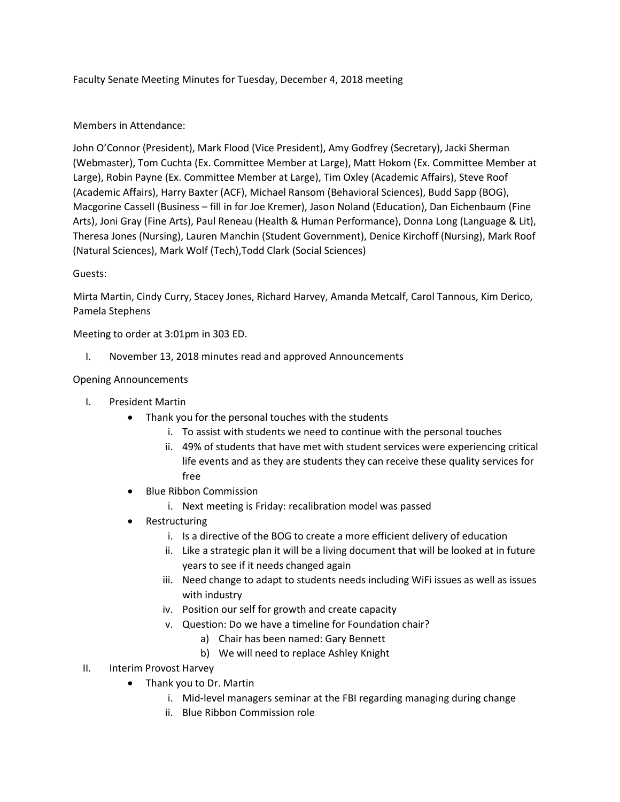Faculty Senate Meeting Minutes for Tuesday, December 4, 2018 meeting

### Members in Attendance:

John O'Connor (President), Mark Flood (Vice President), Amy Godfrey (Secretary), Jacki Sherman (Webmaster), Tom Cuchta (Ex. Committee Member at Large), Matt Hokom (Ex. Committee Member at Large), Robin Payne (Ex. Committee Member at Large), Tim Oxley (Academic Affairs), Steve Roof (Academic Affairs), Harry Baxter (ACF), Michael Ransom (Behavioral Sciences), Budd Sapp (BOG), Macgorine Cassell (Business – fill in for Joe Kremer), Jason Noland (Education), Dan Eichenbaum (Fine Arts), Joni Gray (Fine Arts), Paul Reneau (Health & Human Performance), Donna Long (Language & Lit), Theresa Jones (Nursing), Lauren Manchin (Student Government), Denice Kirchoff (Nursing), Mark Roof (Natural Sciences), Mark Wolf (Tech),Todd Clark (Social Sciences)

#### Guests:

Mirta Martin, Cindy Curry, Stacey Jones, Richard Harvey, Amanda Metcalf, Carol Tannous, Kim Derico, Pamela Stephens

Meeting to order at 3:01pm in 303 ED.

I. November 13, 2018 minutes read and approved Announcements

#### Opening Announcements

- I. President Martin
	- Thank you for the personal touches with the students
		- i. To assist with students we need to continue with the personal touches
		- ii. 49% of students that have met with student services were experiencing critical life events and as they are students they can receive these quality services for free
	- Blue Ribbon Commission
		- i. Next meeting is Friday: recalibration model was passed
	- Restructuring
		- i. Is a directive of the BOG to create a more efficient delivery of education
		- ii. Like a strategic plan it will be a living document that will be looked at in future years to see if it needs changed again
		- iii. Need change to adapt to students needs including WiFi issues as well as issues with industry
		- iv. Position our self for growth and create capacity
		- v. Question: Do we have a timeline for Foundation chair?
			- a) Chair has been named: Gary Bennett
			- b) We will need to replace Ashley Knight
- II. Interim Provost Harvey
	- Thank you to Dr. Martin
		- i. Mid-level managers seminar at the FBI regarding managing during change
		- ii. Blue Ribbon Commission role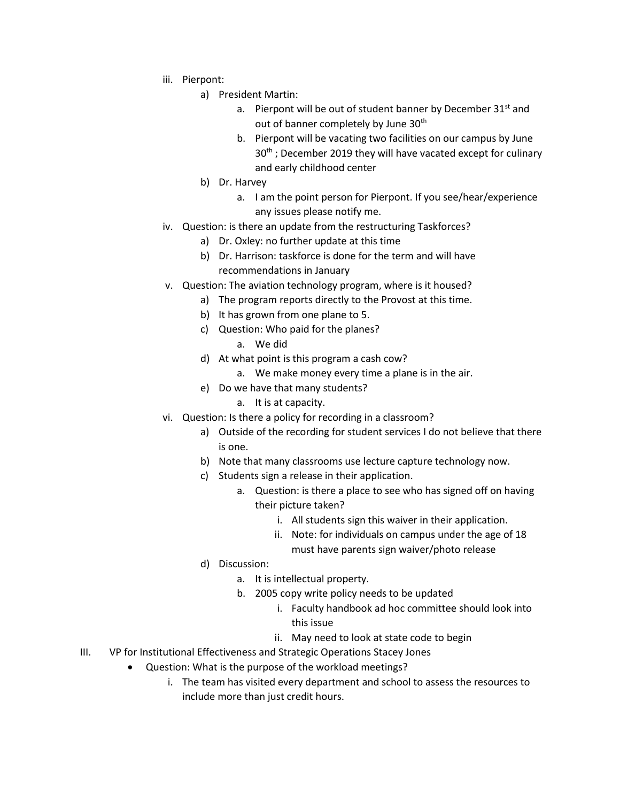- iii. Pierpont:
	- a) President Martin:
		- a. Pierpont will be out of student banner by December  $31<sup>st</sup>$  and out of banner completely by June 30<sup>th</sup>
		- b. Pierpont will be vacating two facilities on our campus by June 30<sup>th</sup>; December 2019 they will have vacated except for culinary and early childhood center
	- b) Dr. Harvey
		- a. I am the point person for Pierpont. If you see/hear/experience any issues please notify me.
- iv. Question: is there an update from the restructuring Taskforces?
	- a) Dr. Oxley: no further update at this time
	- b) Dr. Harrison: taskforce is done for the term and will have recommendations in January
- v. Question: The aviation technology program, where is it housed?
	- a) The program reports directly to the Provost at this time.
		- b) It has grown from one plane to 5.
		- c) Question: Who paid for the planes?
			- a. We did
		- d) At what point is this program a cash cow?
			- a. We make money every time a plane is in the air.
		- e) Do we have that many students?
			- a. It is at capacity.
- vi. Question: Is there a policy for recording in a classroom?
	- a) Outside of the recording for student services I do not believe that there is one.
	- b) Note that many classrooms use lecture capture technology now.
	- c) Students sign a release in their application.
		- a. Question: is there a place to see who has signed off on having their picture taken?
			- i. All students sign this waiver in their application.
			- ii. Note: for individuals on campus under the age of 18 must have parents sign waiver/photo release
	- d) Discussion:
		- a. It is intellectual property.
		- b. 2005 copy write policy needs to be updated
			- i. Faculty handbook ad hoc committee should look into this issue
			- ii. May need to look at state code to begin
- III. VP for Institutional Effectiveness and Strategic Operations Stacey Jones
	- Question: What is the purpose of the workload meetings?
		- i. The team has visited every department and school to assess the resources to include more than just credit hours.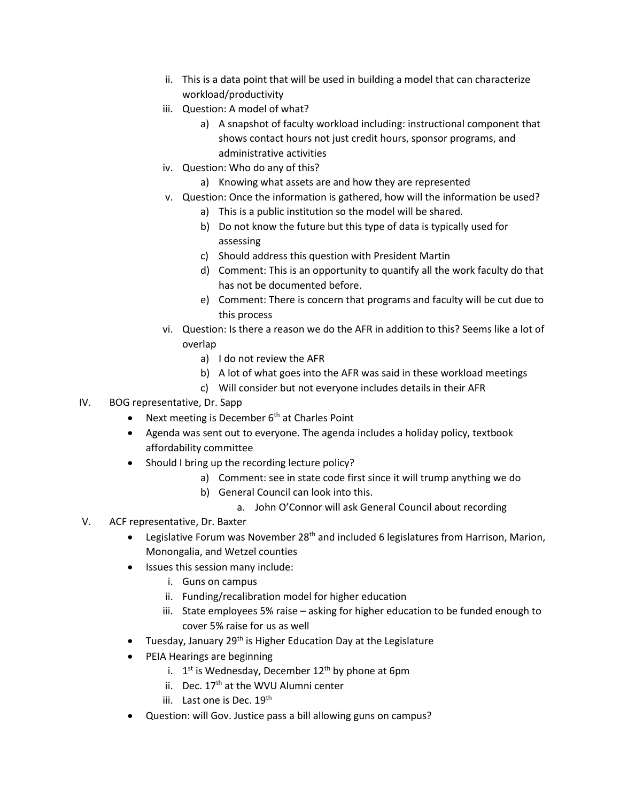- ii. This is a data point that will be used in building a model that can characterize workload/productivity
- iii. Question: A model of what?
	- a) A snapshot of faculty workload including: instructional component that shows contact hours not just credit hours, sponsor programs, and administrative activities
- iv. Question: Who do any of this?
	- a) Knowing what assets are and how they are represented
- v. Question: Once the information is gathered, how will the information be used?
	- a) This is a public institution so the model will be shared.
	- b) Do not know the future but this type of data is typically used for assessing
	- c) Should address this question with President Martin
	- d) Comment: This is an opportunity to quantify all the work faculty do that has not be documented before.
	- e) Comment: There is concern that programs and faculty will be cut due to this process
- vi. Question: Is there a reason we do the AFR in addition to this? Seems like a lot of overlap
	- a) I do not review the AFR
	- b) A lot of what goes into the AFR was said in these workload meetings
	- c) Will consider but not everyone includes details in their AFR
- IV. BOG representative, Dr. Sapp
	- Next meeting is December  $6<sup>th</sup>$  at Charles Point
	- Agenda was sent out to everyone. The agenda includes a holiday policy, textbook affordability committee
	- Should I bring up the recording lecture policy?
		- a) Comment: see in state code first since it will trump anything we do
		- b) General Council can look into this.
			- a. John O'Connor will ask General Council about recording
- V. ACF representative, Dr. Baxter
	- **•** Legislative Forum was November 28<sup>th</sup> and included 6 legislatures from Harrison, Marion, Monongalia, and Wetzel counties
	- Issues this session many include:
		- i. Guns on campus
		- ii. Funding/recalibration model for higher education
		- iii. State employees 5% raise asking for higher education to be funded enough to cover 5% raise for us as well
	- Tuesday, January 29<sup>th</sup> is Higher Education Day at the Legislature
	- PEIA Hearings are beginning
		- i. 1<sup>st</sup> is Wednesday, December 12<sup>th</sup> by phone at 6pm
		- ii. Dec. 17<sup>th</sup> at the WVU Alumni center
		- iii. Last one is Dec.  $19<sup>th</sup>$
	- Question: will Gov. Justice pass a bill allowing guns on campus?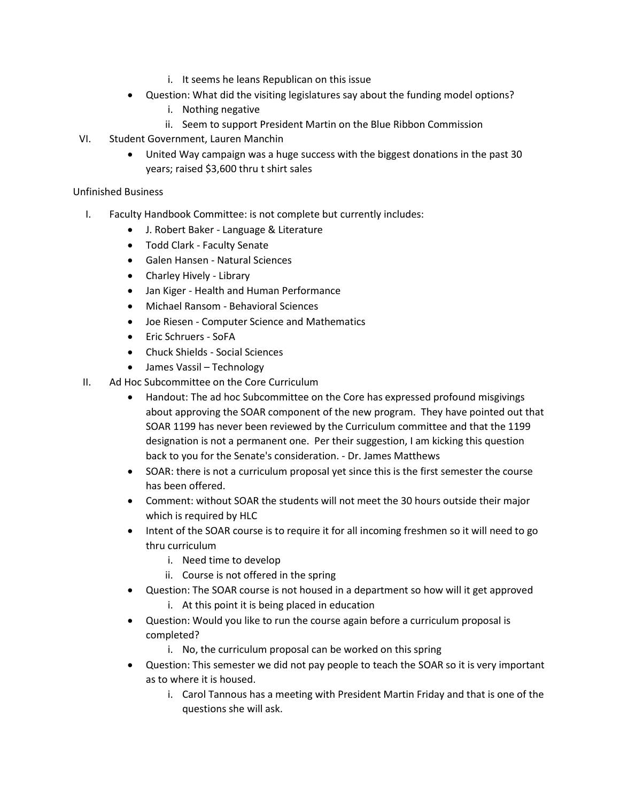- i. It seems he leans Republican on this issue
- Question: What did the visiting legislatures say about the funding model options?
	- i. Nothing negative
	- ii. Seem to support President Martin on the Blue Ribbon Commission
- VI. Student Government, Lauren Manchin
	- United Way campaign was a huge success with the biggest donations in the past 30 years; raised \$3,600 thru t shirt sales

#### Unfinished Business

- I. Faculty Handbook Committee: is not complete but currently includes:
	- J. Robert Baker Language & Literature
	- Todd Clark Faculty Senate
	- Galen Hansen Natural Sciences
	- Charley Hively Library
	- Jan Kiger Health and Human Performance
	- Michael Ransom Behavioral Sciences
	- Joe Riesen Computer Science and Mathematics
	- Eric Schruers SoFA
	- Chuck Shields Social Sciences
	- James Vassil Technology
- II. Ad Hoc Subcommittee on the Core Curriculum
	- Handout: The ad hoc Subcommittee on the Core has expressed profound misgivings about approving the SOAR component of the new program. They have pointed out that SOAR 1199 has never been reviewed by the Curriculum committee and that the 1199 designation is not a permanent one. Per their suggestion, I am kicking this question back to you for the Senate's consideration. - Dr. James Matthews
	- SOAR: there is not a curriculum proposal yet since this is the first semester the course has been offered.
	- Comment: without SOAR the students will not meet the 30 hours outside their major which is required by HLC
	- Intent of the SOAR course is to require it for all incoming freshmen so it will need to go thru curriculum
		- i. Need time to develop
		- ii. Course is not offered in the spring
	- Question: The SOAR course is not housed in a department so how will it get approved i. At this point it is being placed in education
	- Question: Would you like to run the course again before a curriculum proposal is completed?
		- i. No, the curriculum proposal can be worked on this spring
	- Question: This semester we did not pay people to teach the SOAR so it is very important as to where it is housed.
		- i. Carol Tannous has a meeting with President Martin Friday and that is one of the questions she will ask.